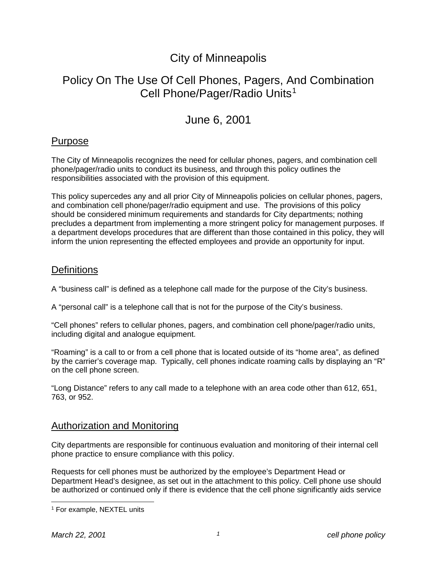# City of Minneapolis

# Policy On The Use Of Cell Phones, Pagers, And Combination Cell Phone/Pager/Radio Units<sup>[1](#page-0-0)</sup>

### June 6, 2001

#### Purpose

The City of Minneapolis recognizes the need for cellular phones, pagers, and combination cell phone/pager/radio units to conduct its business, and through this policy outlines the responsibilities associated with the provision of this equipment.

This policy supercedes any and all prior City of Minneapolis policies on cellular phones, pagers, and combination cell phone/pager/radio equipment and use. The provisions of this policy should be considered minimum requirements and standards for City departments; nothing precludes a department from implementing a more stringent policy for management purposes. If a department develops procedures that are different than those contained in this policy, they will inform the union representing the effected employees and provide an opportunity for input.

#### **Definitions**

A "business call" is defined as a telephone call made for the purpose of the City's business.

A "personal call" is a telephone call that is not for the purpose of the City's business.

"Cell phones" refers to cellular phones, pagers, and combination cell phone/pager/radio units, including digital and analogue equipment.

"Roaming" is a call to or from a cell phone that is located outside of its "home area", as defined by the carrier's coverage map. Typically, cell phones indicate roaming calls by displaying an "R" on the cell phone screen.

"Long Distance" refers to any call made to a telephone with an area code other than 612, 651, 763, or 952.

#### Authorization and Monitoring

City departments are responsible for continuous evaluation and monitoring of their internal cell phone practice to ensure compliance with this policy.

Requests for cell phones must be authorized by the employee's Department Head or Department Head's designee, as set out in the attachment to this policy. Cell phone use should be authorized or continued only if there is evidence that the cell phone significantly aids service

<span id="page-0-0"></span> <sup>1</sup> For example, NEXTEL units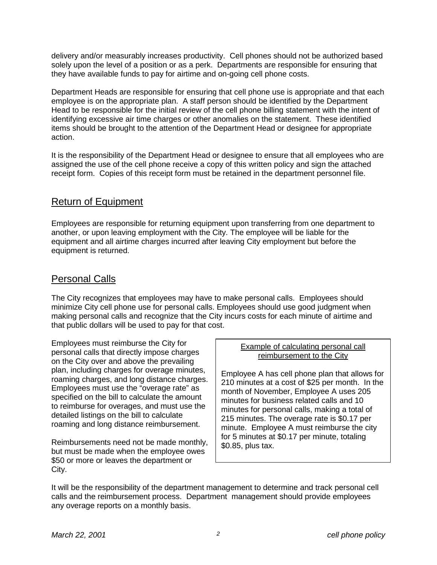delivery and/or measurably increases productivity. Cell phones should not be authorized based solely upon the level of a position or as a perk. Departments are responsible for ensuring that they have available funds to pay for airtime and on-going cell phone costs.

Department Heads are responsible for ensuring that cell phone use is appropriate and that each employee is on the appropriate plan. A staff person should be identified by the Department Head to be responsible for the initial review of the cell phone billing statement with the intent of identifying excessive air time charges or other anomalies on the statement. These identified items should be brought to the attention of the Department Head or designee for appropriate action.

It is the responsibility of the Department Head or designee to ensure that all employees who are assigned the use of the cell phone receive a copy of this written policy and sign the attached receipt form. Copies of this receipt form must be retained in the department personnel file.

#### Return of Equipment

Employees are responsible for returning equipment upon transferring from one department to another, or upon leaving employment with the City. The employee will be liable for the equipment and all airtime charges incurred after leaving City employment but before the equipment is returned.

#### Personal Calls

The City recognizes that employees may have to make personal calls. Employees should minimize City cell phone use for personal calls. Employees should use good judgment when making personal calls and recognize that the City incurs costs for each minute of airtime and that public dollars will be used to pay for that cost.

Employees must reimburse the City for personal calls that directly impose charges on the City over and above the prevailing plan, including charges for overage minutes, roaming charges, and long distance charges. Employees must use the "overage rate" as specified on the bill to calculate the amount to reimburse for overages, and must use the detailed listings on the bill to calculate roaming and long distance reimbursement.

Reimbursements need not be made monthly, but must be made when the employee owes \$50 or more or leaves the department or City.

#### Example of calculating personal call reimbursement to the City

Employee A has cell phone plan that allows for 210 minutes at a cost of \$25 per month. In the month of November, Employee A uses 205 minutes for business related calls and 10 minutes for personal calls, making a total of 215 minutes. The overage rate is \$0.17 per minute. Employee A must reimburse the city for 5 minutes at \$0.17 per minute, totaling \$0.85, plus tax.

It will be the responsibility of the department management to determine and track personal cell calls and the reimbursement process. Department management should provide employees any overage reports on a monthly basis.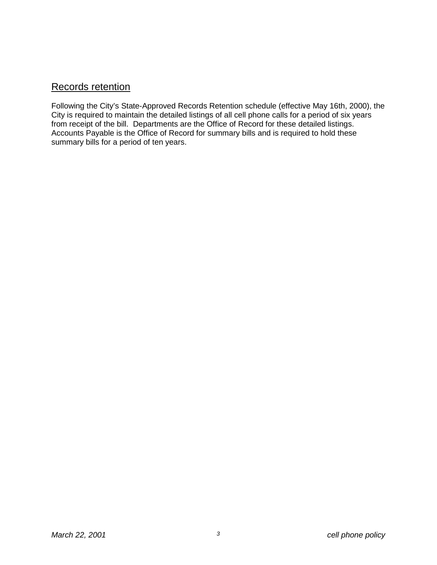#### Records retention

Following the City's State-Approved Records Retention schedule (effective May 16th, 2000), the City is required to maintain the detailed listings of all cell phone calls for a period of six years from receipt of the bill. Departments are the Office of Record for these detailed listings. Accounts Payable is the Office of Record for summary bills and is required to hold these summary bills for a period of ten years.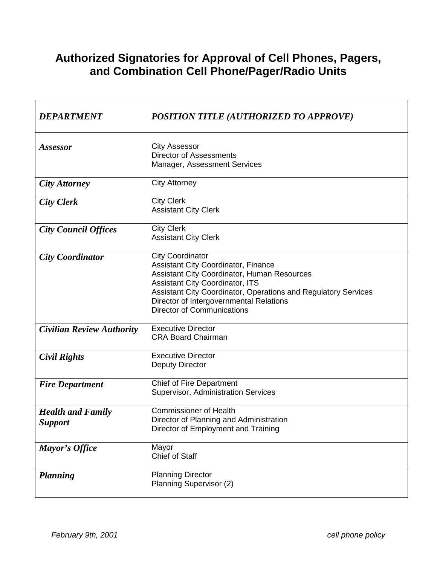# **Authorized Signatories for Approval of Cell Phones, Pagers, and Combination Cell Phone/Pager/Radio Units**

| <b>DEPARTMENT</b>                          | POSITION TITLE (AUTHORIZED TO APPROVE)                                                                                                                                                                                                                                                                                  |
|--------------------------------------------|-------------------------------------------------------------------------------------------------------------------------------------------------------------------------------------------------------------------------------------------------------------------------------------------------------------------------|
| Assessor                                   | <b>City Assessor</b><br><b>Director of Assessments</b><br>Manager, Assessment Services                                                                                                                                                                                                                                  |
| <b>City Attorney</b>                       | <b>City Attorney</b>                                                                                                                                                                                                                                                                                                    |
| <b>City Clerk</b>                          | <b>City Clerk</b><br><b>Assistant City Clerk</b>                                                                                                                                                                                                                                                                        |
| <b>City Council Offices</b>                | <b>City Clerk</b><br><b>Assistant City Clerk</b>                                                                                                                                                                                                                                                                        |
| <b>City Coordinator</b>                    | <b>City Coordinator</b><br><b>Assistant City Coordinator, Finance</b><br><b>Assistant City Coordinator, Human Resources</b><br><b>Assistant City Coordinator, ITS</b><br>Assistant City Coordinator, Operations and Regulatory Services<br>Director of Intergovernmental Relations<br><b>Director of Communications</b> |
| <b>Civilian Review Authority</b>           | <b>Executive Director</b><br><b>CRA Board Chairman</b>                                                                                                                                                                                                                                                                  |
| <b>Civil Rights</b>                        | <b>Executive Director</b><br><b>Deputy Director</b>                                                                                                                                                                                                                                                                     |
| <b>Fire Department</b>                     | <b>Chief of Fire Department</b><br>Supervisor, Administration Services                                                                                                                                                                                                                                                  |
| <b>Health and Family</b><br><b>Support</b> | <b>Commissioner of Health</b><br>Director of Planning and Administration<br>Director of Employment and Training                                                                                                                                                                                                         |
| Mayor's Office                             | Mayor<br><b>Chief of Staff</b>                                                                                                                                                                                                                                                                                          |
| <b>Planning</b>                            | <b>Planning Director</b><br>Planning Supervisor (2)                                                                                                                                                                                                                                                                     |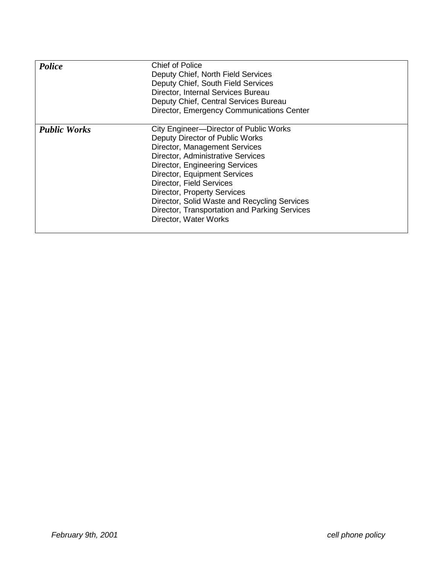| Police              | <b>Chief of Police</b><br>Deputy Chief, North Field Services<br>Deputy Chief, South Field Services<br>Director, Internal Services Bureau<br>Deputy Chief, Central Services Bureau<br>Director, Emergency Communications Center                                                                                                                                                                                                      |
|---------------------|-------------------------------------------------------------------------------------------------------------------------------------------------------------------------------------------------------------------------------------------------------------------------------------------------------------------------------------------------------------------------------------------------------------------------------------|
| <b>Public Works</b> | City Engineer--Director of Public Works<br>Deputy Director of Public Works<br>Director, Management Services<br><b>Director, Administrative Services</b><br><b>Director, Engineering Services</b><br><b>Director, Equipment Services</b><br>Director, Field Services<br><b>Director, Property Services</b><br>Director, Solid Waste and Recycling Services<br>Director, Transportation and Parking Services<br>Director, Water Works |